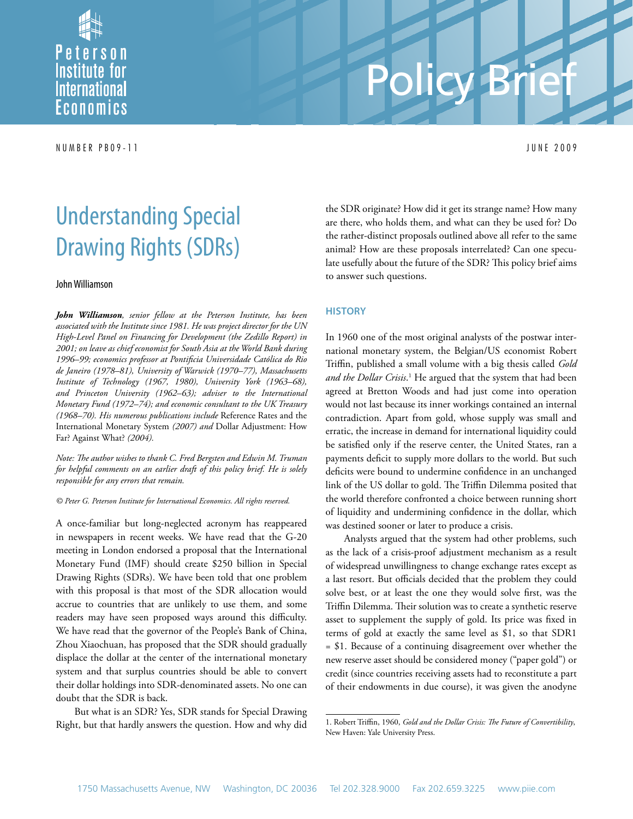

N U M B E R P B 0 9 - 1 1 J U N E 2 0 0 9

# Policy Brief

# Understanding Special Drawing Rights (SDRs)

#### John Williamson

*John Williamson, senior fellow at the Peterson Institute, has been associated with the Institute since 1981. He was project director for the UN High-Level Panel on Financing for Development (the Zedillo Report) in 2001; on leave as chief economist for South Asia at the World Bank during 1996–99; economics professor at Pontificia Universidade Católica do Rio de Janeiro (1978–81), University of Warwick (1970–77), Massachusetts Institute of Technology (1967, 1980), University York (1963–68), and Princeton University (1962–63); adviser to the International Monetary Fund (1972–74); and economic consultant to the UK Treasury (1968–70). His numerous publications include* Reference Rates and the International Monetary System *(2007) and* Dollar Adjustment: How Far? Against What? *(2004).*

*Note: The author wishes to thank C. Fred Bergsten and Edwin M. Truman for helpful comments on an earlier draft of this policy brief. He is solely responsible for any errors that remain.*

#### *© Peter G. Peterson Institute for International Economics. All rights reserved.*

A once-familiar but long-neglected acronym has reappeared in newspapers in recent weeks. We have read that the G-20 meeting in London endorsed a proposal that the International Monetary Fund (IMF) should create \$250 billion in Special Drawing Rights (SDRs). We have been told that one problem with this proposal is that most of the SDR allocation would accrue to countries that are unlikely to use them, and some readers may have seen proposed ways around this difficulty. We have read that the governor of the People's Bank of China, Zhou Xiaochuan, has proposed that the SDR should gradually displace the dollar at the center of the international monetary system and that surplus countries should be able to convert their dollar holdings into SDR-denominated assets. No one can doubt that the SDR is back.

But what is an SDR? Yes, SDR stands for Special Drawing Right, but that hardly answers the question. How and why did the SDR originate? How did it get its strange name? How many are there, who holds them, and what can they be used for? Do the rather-distinct proposals outlined above all refer to the same animal? How are these proposals interrelated? Can one speculate usefully about the future of the SDR? This policy brief aims to answer such questions.

#### **History**

In 1960 one of the most original analysts of the postwar international monetary system, the Belgian/US economist Robert Triffin, published a small volume with a big thesis called *Gold*  and the Dollar Crisis.<sup>1</sup> He argued that the system that had been agreed at Bretton Woods and had just come into operation would not last because its inner workings contained an internal contradiction. Apart from gold, whose supply was small and erratic, the increase in demand for international liquidity could be satisfied only if the reserve center, the United States, ran a payments deficit to supply more dollars to the world. But such deficits were bound to undermine confidence in an unchanged link of the US dollar to gold. The Triffin Dilemma posited that the world therefore confronted a choice between running short of liquidity and undermining confidence in the dollar, which was destined sooner or later to produce a crisis.

Analysts argued that the system had other problems, such as the lack of a crisis-proof adjustment mechanism as a result of widespread unwillingness to change exchange rates except as a last resort. But officials decided that the problem they could solve best, or at least the one they would solve first, was the Triffin Dilemma. Their solution was to create a synthetic reserve asset to supplement the supply of gold. Its price was fixed in terms of gold at exactly the same level as \$1, so that SDR1 = \$1. Because of a continuing disagreement over whether the new reserve asset should be considered money ("paper gold") or credit (since countries receiving assets had to reconstitute a part of their endowments in due course), it was given the anodyne

<sup>1.</sup> Robert Triffin, 1960, *Gold and the Dollar Crisis: The Future of Convertibility*, New Haven: Yale University Press.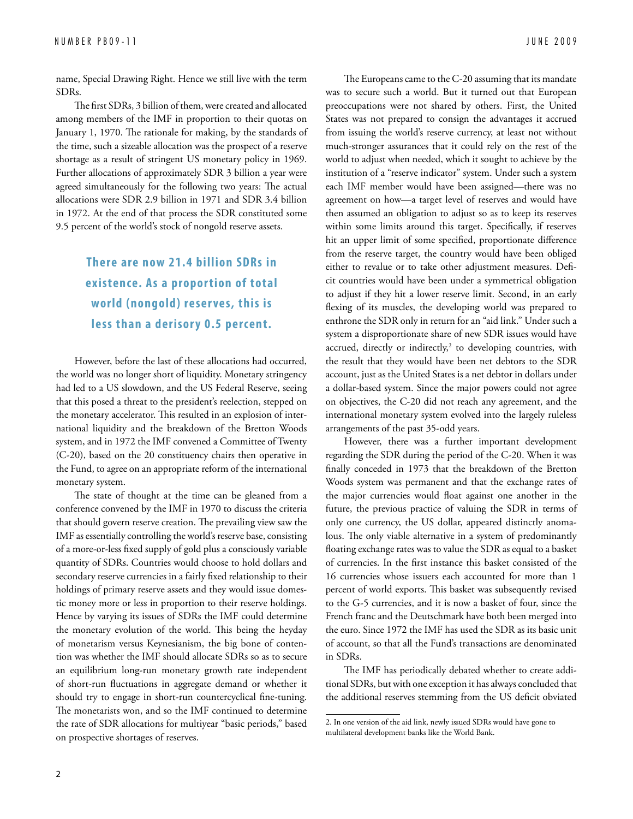name, Special Drawing Right. Hence we still live with the term SDRs.

The first SDRs, 3 billion of them, were created and allocated among members of the IMF in proportion to their quotas on January 1, 1970. The rationale for making, by the standards of the time, such a sizeable allocation was the prospect of a reserve shortage as a result of stringent US monetary policy in 1969. Further allocations of approximately SDR 3 billion a year were agreed simultaneously for the following two years: The actual allocations were SDR 2.9 billion in 1971 and SDR 3.4 billion in 1972. At the end of that process the SDR constituted some 9.5 percent of the world's stock of nongold reserve assets.

# **There are now 21.4 billion SDRs in existence. As a proportion of total world (nongold) reser ves, this is less than a derisory 0.5 percent.**

However, before the last of these allocations had occurred, the world was no longer short of liquidity. Monetary stringency had led to a US slowdown, and the US Federal Reserve, seeing that this posed a threat to the president's reelection, stepped on the monetary accelerator. This resulted in an explosion of international liquidity and the breakdown of the Bretton Woods system, and in 1972 the IMF convened a Committee of Twenty (C-20), based on the 20 constituency chairs then operative in the Fund, to agree on an appropriate reform of the international monetary system.

The state of thought at the time can be gleaned from a conference convened by the IMF in 1970 to discuss the criteria that should govern reserve creation. The prevailing view saw the IMF as essentially controlling the world's reserve base, consisting of a more-or-less fixed supply of gold plus a consciously variable quantity of SDRs. Countries would choose to hold dollars and secondary reserve currencies in a fairly fixed relationship to their holdings of primary reserve assets and they would issue domestic money more or less in proportion to their reserve holdings. Hence by varying its issues of SDRs the IMF could determine the monetary evolution of the world. This being the heyday of monetarism versus Keynesianism, the big bone of contention was whether the IMF should allocate SDRs so as to secure an equilibrium long-run monetary growth rate independent of short-run fluctuations in aggregate demand or whether it should try to engage in short-run countercyclical fine-tuning. The monetarists won, and so the IMF continued to determine the rate of SDR allocations for multiyear "basic periods," based on prospective shortages of reserves.

The Europeans came to the C-20 assuming that its mandate was to secure such a world. But it turned out that European preoccupations were not shared by others. First, the United States was not prepared to consign the advantages it accrued from issuing the world's reserve currency, at least not without much-stronger assurances that it could rely on the rest of the world to adjust when needed, which it sought to achieve by the institution of a "reserve indicator" system. Under such a system each IMF member would have been assigned—there was no agreement on how—a target level of reserves and would have then assumed an obligation to adjust so as to keep its reserves within some limits around this target. Specifically, if reserves hit an upper limit of some specified, proportionate difference from the reserve target, the country would have been obliged either to revalue or to take other adjustment measures. Deficit countries would have been under a symmetrical obligation to adjust if they hit a lower reserve limit. Second, in an early flexing of its muscles, the developing world was prepared to enthrone the SDR only in return for an "aid link." Under such a system a disproportionate share of new SDR issues would have accrued, directly or indirectly,<sup>2</sup> to developing countries, with the result that they would have been net debtors to the SDR account, just as the United States is a net debtor in dollars under a dollar-based system. Since the major powers could not agree on objectives, the C-20 did not reach any agreement, and the international monetary system evolved into the largely ruleless arrangements of the past 35-odd years.

However, there was a further important development regarding the SDR during the period of the C-20. When it was finally conceded in 1973 that the breakdown of the Bretton Woods system was permanent and that the exchange rates of the major currencies would float against one another in the future, the previous practice of valuing the SDR in terms of only one currency, the US dollar, appeared distinctly anomalous. The only viable alternative in a system of predominantly floating exchange rates was to value the SDR as equal to a basket of currencies. In the first instance this basket consisted of the 16 currencies whose issuers each accounted for more than 1 percent of world exports. This basket was subsequently revised to the G-5 currencies, and it is now a basket of four, since the French franc and the Deutschmark have both been merged into the euro. Since 1972 the IMF has used the SDR as its basic unit of account, so that all the Fund's transactions are denominated in SDRs.

The IMF has periodically debated whether to create additional SDRs, but with one exception it has always concluded that the additional reserves stemming from the US deficit obviated

<sup>2.</sup> In one version of the aid link, newly issued SDRs would have gone to multilateral development banks like the World Bank.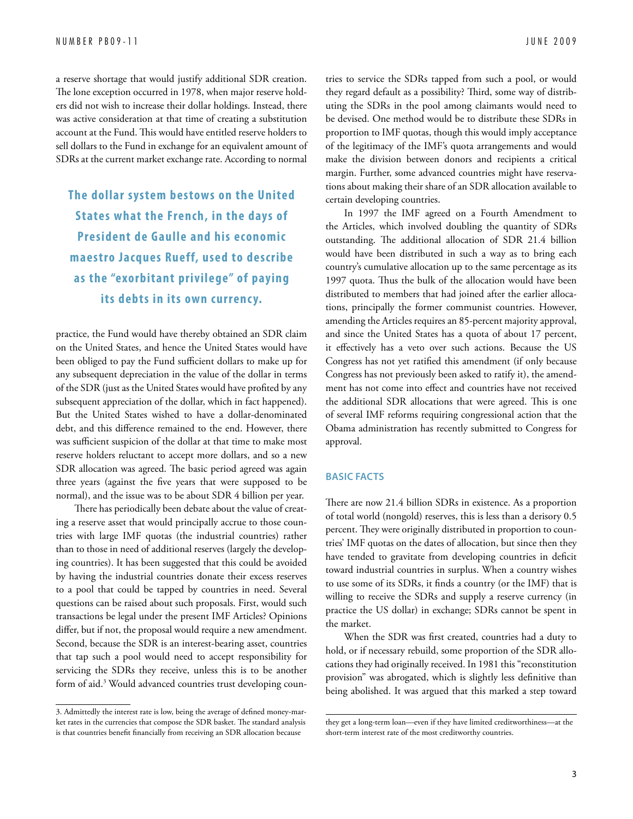a reserve shortage that would justify additional SDR creation. The lone exception occurred in 1978, when major reserve holders did not wish to increase their dollar holdings. Instead, there was active consideration at that time of creating a substitution account at the Fund. This would have entitled reserve holders to sell dollars to the Fund in exchange for an equivalent amount of SDRs at the current market exchange rate. According to normal

**The dollar system bestows on the United S tates what the French, in the days of President de Gaulle and his economic maestro Jacques Rueff, used to describe as the "exorbitant privilege" of paying**  its debts in its own currency.

practice, the Fund would have thereby obtained an SDR claim on the United States, and hence the United States would have been obliged to pay the Fund sufficient dollars to make up for any subsequent depreciation in the value of the dollar in terms of the SDR (just as the United States would have profited by any subsequent appreciation of the dollar, which in fact happened). But the United States wished to have a dollar-denominated debt, and this difference remained to the end. However, there was sufficient suspicion of the dollar at that time to make most reserve holders reluctant to accept more dollars, and so a new SDR allocation was agreed. The basic period agreed was again three years (against the five years that were supposed to be normal), and the issue was to be about SDR 4 billion per year.

There has periodically been debate about the value of creating a reserve asset that would principally accrue to those countries with large IMF quotas (the industrial countries) rather than to those in need of additional reserves (largely the developing countries). It has been suggested that this could be avoided by having the industrial countries donate their excess reserves to a pool that could be tapped by countries in need. Several questions can be raised about such proposals. First, would such transactions be legal under the present IMF Articles? Opinions differ, but if not, the proposal would require a new amendment. Second, because the SDR is an interest-bearing asset, countries that tap such a pool would need to accept responsibility for servicing the SDRs they receive, unless this is to be another form of aid.3 Would advanced countries trust developing countries to service the SDRs tapped from such a pool, or would they regard default as a possibility? Third, some way of distributing the SDRs in the pool among claimants would need to be devised. One method would be to distribute these SDRs in proportion to IMF quotas, though this would imply acceptance of the legitimacy of the IMF's quota arrangements and would make the division between donors and recipients a critical margin. Further, some advanced countries might have reservations about making their share of an SDR allocation available to certain developing countries.

In 1997 the IMF agreed on a Fourth Amendment to the Articles, which involved doubling the quantity of SDRs outstanding. The additional allocation of SDR 21.4 billion would have been distributed in such a way as to bring each country's cumulative allocation up to the same percentage as its 1997 quota. Thus the bulk of the allocation would have been distributed to members that had joined after the earlier allocations, principally the former communist countries. However, amending the Articles requires an 85-percent majority approval, and since the United States has a quota of about 17 percent, it effectively has a veto over such actions. Because the US Congress has not yet ratified this amendment (if only because Congress has not previously been asked to ratify it), the amendment has not come into effect and countries have not received the additional SDR allocations that were agreed. This is one of several IMF reforms requiring congressional action that the Obama administration has recently submitted to Congress for approval.

#### **Basic Facts**

There are now 21.4 billion SDRs in existence. As a proportion of total world (nongold) reserves, this is less than a derisory 0.5 percent. They were originally distributed in proportion to countries' IMF quotas on the dates of allocation, but since then they have tended to gravitate from developing countries in deficit toward industrial countries in surplus. When a country wishes to use some of its SDRs, it finds a country (or the IMF) that is willing to receive the SDRs and supply a reserve currency (in practice the US dollar) in exchange; SDRs cannot be spent in the market.

When the SDR was first created, countries had a duty to hold, or if necessary rebuild, some proportion of the SDR allocations they had originally received. In 1981 this "reconstitution provision" was abrogated, which is slightly less definitive than being abolished. It was argued that this marked a step toward

<sup>3.</sup> Admittedly the interest rate is low, being the average of defined money-market rates in the currencies that compose the SDR basket. The standard analysis is that countries benefit financially from receiving an SDR allocation because

they get a long-term loan—even if they have limited creditworthiness—at the short-term interest rate of the most creditworthy countries.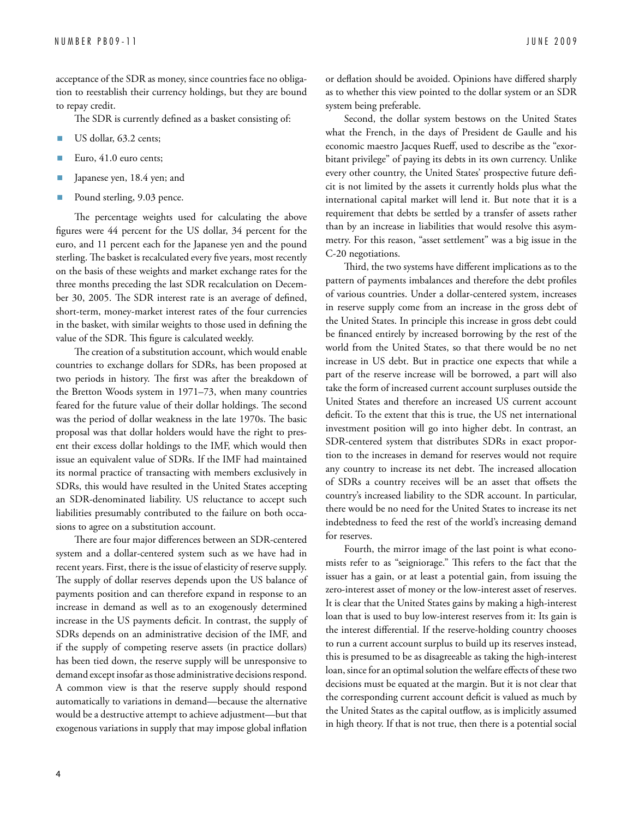acceptance of the SDR as money, since countries face no obligation to reestablish their currency holdings, but they are bound to repay credit.

The SDR is currently defined as a basket consisting of:

- **No. 4** US dollar, 63.2 cents;
- Euro, 41.0 euro cents;
- Japanese yen, 18.4 yen; and
- Pound sterling, 9.03 pence.

The percentage weights used for calculating the above figures were 44 percent for the US dollar, 34 percent for the euro, and 11 percent each for the Japanese yen and the pound sterling. The basket is recalculated every five years, most recently on the basis of these weights and market exchange rates for the three months preceding the last SDR recalculation on December 30, 2005. The SDR interest rate is an average of defined, short-term, money-market interest rates of the four currencies in the basket, with similar weights to those used in defining the value of the SDR. This figure is calculated weekly.

The creation of a substitution account, which would enable countries to exchange dollars for SDRs, has been proposed at two periods in history. The first was after the breakdown of the Bretton Woods system in 1971–73, when many countries feared for the future value of their dollar holdings. The second was the period of dollar weakness in the late 1970s. The basic proposal was that dollar holders would have the right to present their excess dollar holdings to the IMF, which would then issue an equivalent value of SDRs. If the IMF had maintained its normal practice of transacting with members exclusively in SDRs, this would have resulted in the United States accepting an SDR-denominated liability. US reluctance to accept such liabilities presumably contributed to the failure on both occasions to agree on a substitution account.

There are four major differences between an SDR-centered system and a dollar-centered system such as we have had in recent years. First, there is the issue of elasticity of reserve supply. The supply of dollar reserves depends upon the US balance of payments position and can therefore expand in response to an increase in demand as well as to an exogenously determined increase in the US payments deficit. In contrast, the supply of SDRs depends on an administrative decision of the IMF, and if the supply of competing reserve assets (in practice dollars) has been tied down, the reserve supply will be unresponsive to demand except insofar as those administrative decisions respond. A common view is that the reserve supply should respond automatically to variations in demand—because the alternative would be a destructive attempt to achieve adjustment—but that exogenous variations in supply that may impose global inflation

or deflation should be avoided. Opinions have differed sharply as to whether this view pointed to the dollar system or an SDR system being preferable.

Second, the dollar system bestows on the United States what the French, in the days of President de Gaulle and his economic maestro Jacques Rueff, used to describe as the "exorbitant privilege" of paying its debts in its own currency. Unlike every other country, the United States' prospective future deficit is not limited by the assets it currently holds plus what the international capital market will lend it. But note that it is a requirement that debts be settled by a transfer of assets rather than by an increase in liabilities that would resolve this asymmetry. For this reason, "asset settlement" was a big issue in the C-20 negotiations.

Third, the two systems have different implications as to the pattern of payments imbalances and therefore the debt profiles of various countries. Under a dollar-centered system, increases in reserve supply come from an increase in the gross debt of the United States. In principle this increase in gross debt could be financed entirely by increased borrowing by the rest of the world from the United States, so that there would be no net increase in US debt. But in practice one expects that while a part of the reserve increase will be borrowed, a part will also take the form of increased current account surpluses outside the United States and therefore an increased US current account deficit. To the extent that this is true, the US net international investment position will go into higher debt. In contrast, an SDR-centered system that distributes SDRs in exact proportion to the increases in demand for reserves would not require any country to increase its net debt. The increased allocation of SDRs a country receives will be an asset that offsets the country's increased liability to the SDR account. In particular, there would be no need for the United States to increase its net indebtedness to feed the rest of the world's increasing demand for reserves.

Fourth, the mirror image of the last point is what economists refer to as "seigniorage." This refers to the fact that the issuer has a gain, or at least a potential gain, from issuing the zero-interest asset of money or the low-interest asset of reserves. It is clear that the United States gains by making a high-interest loan that is used to buy low-interest reserves from it: Its gain is the interest differential. If the reserve-holding country chooses to run a current account surplus to build up its reserves instead, this is presumed to be as disagreeable as taking the high-interest loan, since for an optimal solution the welfare effects of these two decisions must be equated at the margin. But it is not clear that the corresponding current account deficit is valued as much by the United States as the capital outflow, as is implicitly assumed in high theory. If that is not true, then there is a potential social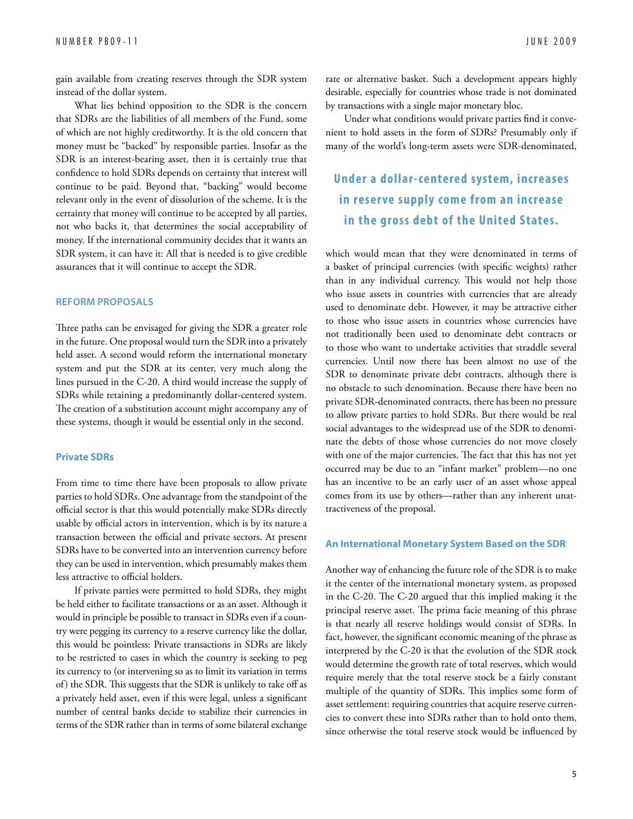gain available from creating reserves through the SDR system instead of the dollar system.

What lies behind opposition to the SDR is the concern that SDRs are the liabilities of all members of the Fund, some of which are not highly creditworthy. It is the old concern that money must be "backed" by responsible parties. Insofar as the SDR is an interest-bearing asset, then it is certainly true that confidence to hold SDRs depends on certainty that interest will continue to be paid. Beyond that, "backing" would become relevant only in the event of dissolution of the scheme. It is the certainty that money will continue to be accepted by all parties, not who backs it, that determines the social acceptability of money. If the international community decides that it wants an SDR system, it can have it: All that is needed is to give credible assurances that it will continue to accept the SDR.

#### **Reform Proposals**

Three paths can be envisaged for giving the SDR a greater role in the future. One proposal would turn the SDR into a privately held asset. A second would reform the international monetary system and put the SDR at its center, very much along the lines pursued in the C-20. A third would increase the supply of SDRs while retaining a predominantly dollar-centered system. The creation of a substitution account might accompany any of these systems, though it would be essential only in the second.

#### **Private SDRs**

From time to time there have been proposals to allow private parties to hold SDRs. One advantage from the standpoint of the official sector is that this would potentially make SDRs directly usable by official actors in intervention, which is by its nature a transaction between the official and private sectors. At present SDRs have to be converted into an intervention currency before they can be used in intervention, which presumably makes them less attractive to official holders.

If private parties were permitted to hold SDRs, they might be held either to facilitate transactions or as an asset. Although it would in principle be possible to transact in SDRs even if a country were pegging its currency to a reserve currency like the dollar, this would be pointless: Private transactions in SDRs are likely to be restricted to cases in which the country is seeking to peg its currency to (or intervening so as to limit its variation in terms of) the SDR. This suggests that the SDR is unlikely to take off as a privately held asset, even if this were legal, unless a significant number of central banks decide to stabilize their currencies in terms of the SDR rather than in terms of some bilateral exchange rate or alternative basket. Such a development appears highly desirable, especially for countries whose trade is not dominated by transactions with a single major monetary bloc.

Under what conditions would private parties find it convenient to hold assets in the form of SDRs? Presumably only if many of the world's long-term assets were SDR-denominated,

### **Under a dollar- centered system, increases in reser ve supply come from an increase**  in the gross debt of the United States.

which would mean that they were denominated in terms of a basket of principal currencies (with specific weights) rather than in any individual currency. This would not help those who issue assets in countries with currencies that are already used to denominate debt. However, it may be attractive either to those who issue assets in countries whose currencies have not traditionally been used to denominate debt contracts or to those who want to undertake activities that straddle several currencies. Until now there has been almost no use of the SDR to denominate private debt contracts, although there is no obstacle to such denomination. Because there have been no private SDR-denominated contracts, there has been no pressure to allow private parties to hold SDRs. But there would be real social advantages to the widespread use of the SDR to denominate the debts of those whose currencies do not move closely with one of the major currencies. The fact that this has not yet occurred may be due to an "infant market" problem—no one has an incentive to be an early user of an asset whose appeal comes from its use by others—rather than any inherent unattractiveness of the proposal.

#### **An International Monetary System Based on the SDR**

Another way of enhancing the future role of the SDR is to make it the center of the international monetary system, as proposed in the C-20. The C-20 argued that this implied making it the principal reserve asset. The prima facie meaning of this phrase is that nearly all reserve holdings would consist of SDRs. In fact, however, the significant economic meaning of the phrase as interpreted by the C-20 is that the evolution of the SDR stock would determine the growth rate of total reserves, which would require merely that the total reserve stock be a fairly constant multiple of the quantity of SDRs. This implies some form of asset settlement: requiring countries that acquire reserve currencies to convert these into SDRs rather than to hold onto them, since otherwise the total reserve stock would be influenced by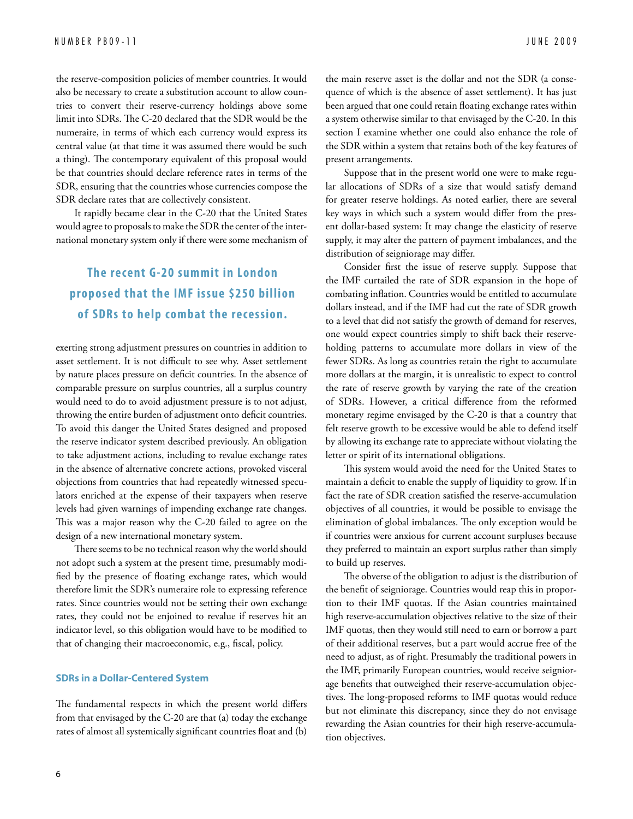the reserve-composition policies of member countries. It would also be necessary to create a substitution account to allow countries to convert their reserve-currency holdings above some limit into SDRs. The C-20 declared that the SDR would be the numeraire, in terms of which each currency would express its central value (at that time it was assumed there would be such a thing). The contemporary equivalent of this proposal would be that countries should declare reference rates in terms of the SDR, ensuring that the countries whose currencies compose the SDR declare rates that are collectively consistent.

It rapidly became clear in the C-20 that the United States would agree to proposals to make the SDR the center of the international monetary system only if there were some mechanism of

# **The recent G-20 summit in London proposed that the IMF issue \$250 billion of SDRs to help combat the recession.**

exerting strong adjustment pressures on countries in addition to asset settlement. It is not difficult to see why. Asset settlement by nature places pressure on deficit countries. In the absence of comparable pressure on surplus countries, all a surplus country would need to do to avoid adjustment pressure is to not adjust, throwing the entire burden of adjustment onto deficit countries. To avoid this danger the United States designed and proposed the reserve indicator system described previously. An obligation to take adjustment actions, including to revalue exchange rates in the absence of alternative concrete actions, provoked visceral objections from countries that had repeatedly witnessed speculators enriched at the expense of their taxpayers when reserve levels had given warnings of impending exchange rate changes. This was a major reason why the C-20 failed to agree on the design of a new international monetary system.

There seems to be no technical reason why the world should not adopt such a system at the present time, presumably modified by the presence of floating exchange rates, which would therefore limit the SDR's numeraire role to expressing reference rates. Since countries would not be setting their own exchange rates, they could not be enjoined to revalue if reserves hit an indicator level, so this obligation would have to be modified to that of changing their macroeconomic, e.g., fiscal, policy.

#### **SDRs in a Dollar-Centered System**

The fundamental respects in which the present world differs from that envisaged by the C-20 are that (a) today the exchange rates of almost all systemically significant countries float and (b)

the main reserve asset is the dollar and not the SDR (a consequence of which is the absence of asset settlement). It has just been argued that one could retain floating exchange rates within a system otherwise similar to that envisaged by the C-20. In this section I examine whether one could also enhance the role of the SDR within a system that retains both of the key features of present arrangements.

Suppose that in the present world one were to make regular allocations of SDRs of a size that would satisfy demand for greater reserve holdings. As noted earlier, there are several key ways in which such a system would differ from the present dollar-based system: It may change the elasticity of reserve supply, it may alter the pattern of payment imbalances, and the distribution of seigniorage may differ.

Consider first the issue of reserve supply. Suppose that the IMF curtailed the rate of SDR expansion in the hope of combating inflation. Countries would be entitled to accumulate dollars instead, and if the IMF had cut the rate of SDR growth to a level that did not satisfy the growth of demand for reserves, one would expect countries simply to shift back their reserveholding patterns to accumulate more dollars in view of the fewer SDRs. As long as countries retain the right to accumulate more dollars at the margin, it is unrealistic to expect to control the rate of reserve growth by varying the rate of the creation of SDRs. However, a critical difference from the reformed monetary regime envisaged by the C-20 is that a country that felt reserve growth to be excessive would be able to defend itself by allowing its exchange rate to appreciate without violating the letter or spirit of its international obligations.

This system would avoid the need for the United States to maintain a deficit to enable the supply of liquidity to grow. If in fact the rate of SDR creation satisfied the reserve-accumulation objectives of all countries, it would be possible to envisage the elimination of global imbalances. The only exception would be if countries were anxious for current account surpluses because they preferred to maintain an export surplus rather than simply to build up reserves.

The obverse of the obligation to adjust is the distribution of the benefit of seigniorage. Countries would reap this in proportion to their IMF quotas. If the Asian countries maintained high reserve-accumulation objectives relative to the size of their IMF quotas, then they would still need to earn or borrow a part of their additional reserves, but a part would accrue free of the need to adjust, as of right. Presumably the traditional powers in the IMF, primarily European countries, would receive seigniorage benefits that outweighed their reserve-accumulation objectives. The long-proposed reforms to IMF quotas would reduce but not eliminate this discrepancy, since they do not envisage rewarding the Asian countries for their high reserve-accumulation objectives.